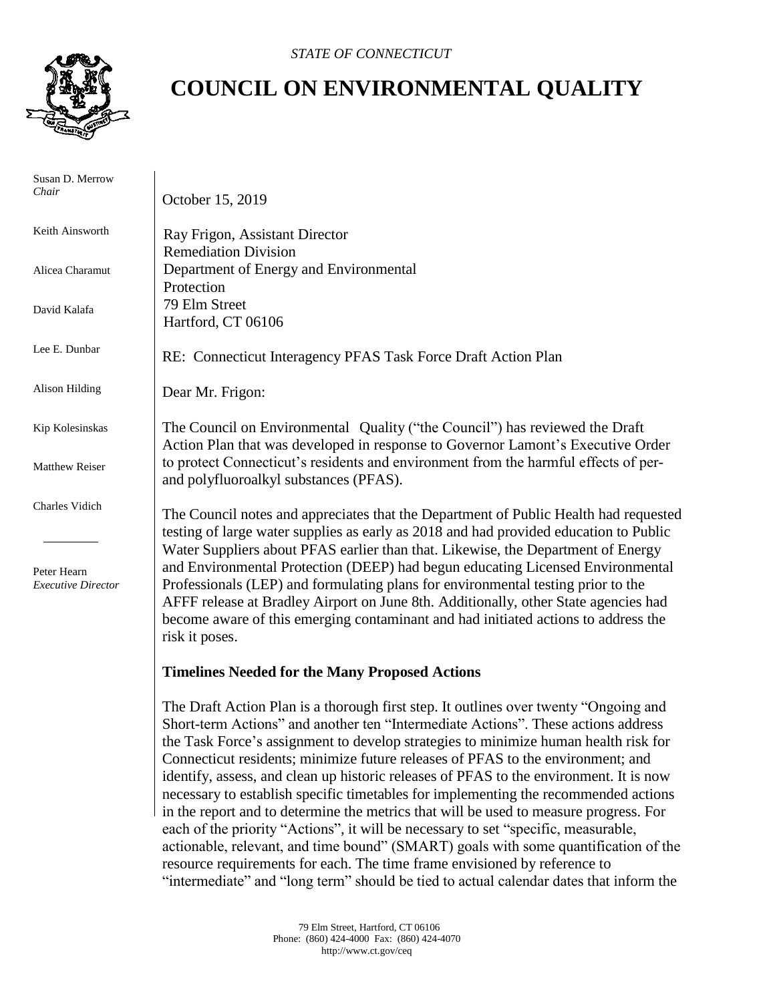

## **COUNCIL ON ENVIRONMENTAL QUALITY**

 Susan D. Merrow *Chair* Keith Ainsworth Alicea Charamut David Kalafa Lee E. Dunbar Alison Hilding Kip Kolesinskas Matthew Reiser Charles Vidich Peter Hearn *Executive Director* October 15, 2019 Ray Frigon, Assistant Director Remediation Division Department of Energy and Environmental Protection 79 Elm Street Hartford, CT 06106 RE: Connecticut Interagency PFAS Task Force Draft Action Plan Dear Mr. Frigon: The Council on Environmental Quality ("the Council") has reviewed the Draft Action Plan that was developed in response to Governor Lamont's Executive Order to protect Connecticut's residents and environment from the harmful effects of perand polyfluoroalkyl substances (PFAS). The Council notes and appreciates that the Department of Public Health had requested testing of large water supplies as early as 2018 and had provided education to Public Water Suppliers about PFAS earlier than that. Likewise, the Department of Energy and Environmental Protection (DEEP) had begun educating Licensed Environmental Professionals (LEP) and formulating plans for environmental testing prior to the AFFF release at Bradley Airport on June 8th. Additionally, other State agencies had become aware of this emerging contaminant and had initiated actions to address the risk it poses. **Timelines Needed for the Many Proposed Actions**  The Draft Action Plan is a thorough first step. It outlines over twenty "Ongoing and Short-term Actions" and another ten "Intermediate Actions". These actions address the Task Force's assignment to develop strategies to minimize human health risk for Connecticut residents; minimize future releases of PFAS to the environment; and identify, assess, and clean up historic releases of PFAS to the environment. It is now necessary to establish specific timetables for implementing the recommended actions

> in the report and to determine the metrics that will be used to measure progress. For each of the priority "Actions", it will be necessary to set "specific, measurable, actionable, relevant, and time bound" (SMART) goals with some quantification of the resource requirements for each. The time frame envisioned by reference to "intermediate" and "long term" should be tied to actual calendar dates that inform the